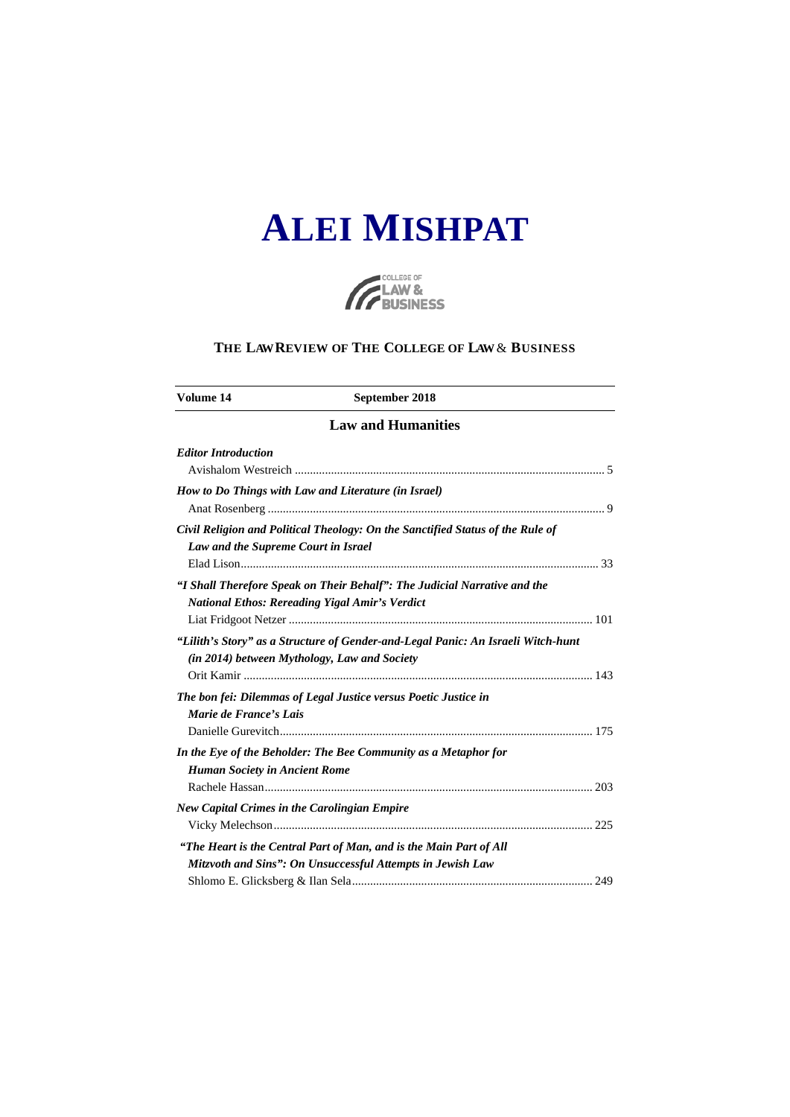# **ALEI MISHPAT**



## **THE LAW REVIEW OF THE COLLEGE OF LAW** & **BUSINESS**

| Volume 14                                           | September 2018                                                                                                                     |
|-----------------------------------------------------|------------------------------------------------------------------------------------------------------------------------------------|
|                                                     | <b>Law and Humanities</b>                                                                                                          |
| <b>Editor Introduction</b>                          |                                                                                                                                    |
|                                                     | How to Do Things with Law and Literature (in Israel)                                                                               |
| Law and the Supreme Court in Israel                 | Civil Religion and Political Theology: On the Sanctified Status of the Rule of                                                     |
|                                                     | "I Shall Therefore Speak on Their Behalf": The Judicial Narrative and the<br><b>National Ethos: Rereading Yigal Amir's Verdict</b> |
| (in 2014) between Mythology, Law and Society        | "Lilith's Story" as a Structure of Gender-and-Legal Panic: An Israeli Witch-hunt                                                   |
| Marie de France's Lais                              | The bon fei: Dilemmas of Legal Justice versus Poetic Justice in                                                                    |
| <b>Human Society in Ancient Rome</b>                | In the Eye of the Beholder: The Bee Community as a Metaphor for                                                                    |
| <b>New Capital Crimes in the Carolingian Empire</b> |                                                                                                                                    |
|                                                     | "The Heart is the Central Part of Man, and is the Main Part of All<br>Mitzvoth and Sins": On Unsuccessful Attempts in Jewish Law   |
|                                                     |                                                                                                                                    |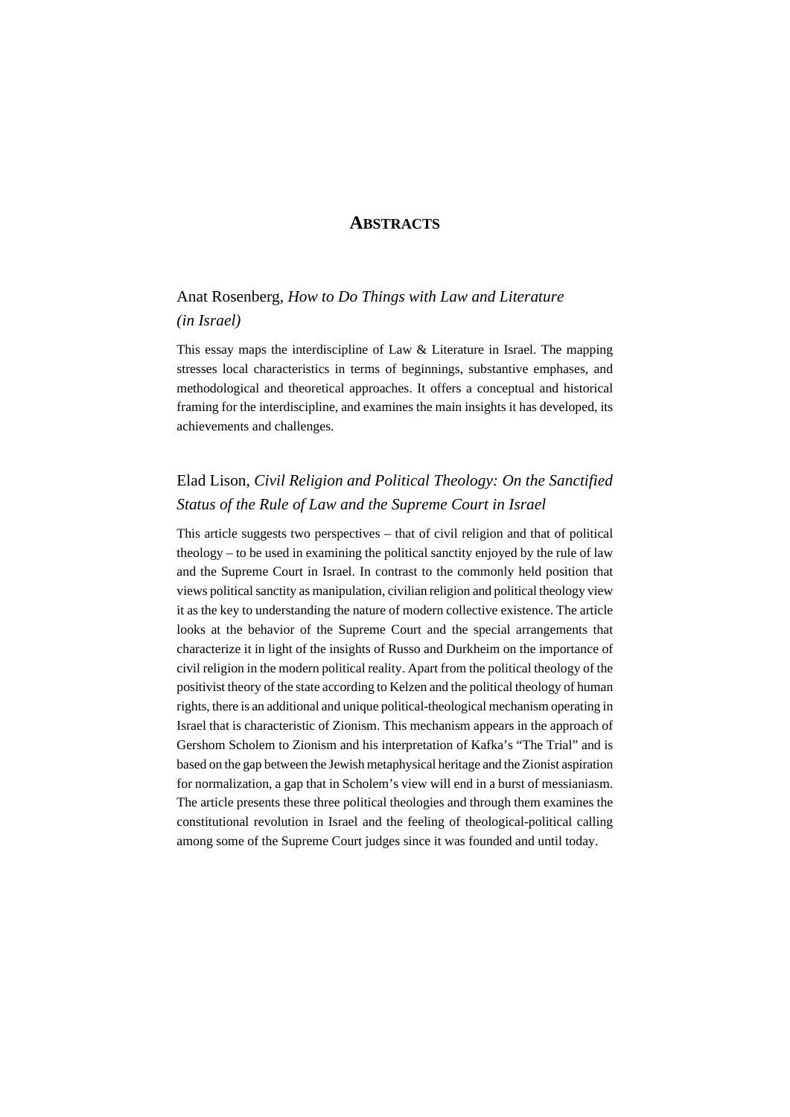## **ABSTRACTS**

## Anat Rosenberg, *How to Do Things with Law and Literature (in Israel)*

This essay maps the interdiscipline of Law & Literature in Israel. The mapping stresses local characteristics in terms of beginnings, substantive emphases, and methodological and theoretical approaches. It offers a conceptual and historical framing for the interdiscipline, and examines the main insights it has developed, its achievements and challenges.

## Elad Lison, *Civil Religion and Political Theology: On the Sanctified Status of the Rule of Law and the Supreme Court in Israel*

This article suggests two perspectives – that of civil religion and that of political theology – to be used in examining the political sanctity enjoyed by the rule of law and the Supreme Court in Israel. In contrast to the commonly held position that views political sanctity as manipulation, civilian religion and political theology view it as the key to understanding the nature of modern collective existence. The article looks at the behavior of the Supreme Court and the special arrangements that characterize it in light of the insights of Russo and Durkheim on the importance of civil religion in the modern political reality. Apart from the political theology of the positivist theory of the state according to Kelzen and the political theology of human rights, there is an additional and unique political-theological mechanism operating in Israel that is characteristic of Zionism. This mechanism appears in the approach of Gershom Scholem to Zionism and his interpretation of Kafka's "The Trial" and is based on the gap between the Jewish metaphysical heritage and the Zionist aspiration for normalization, a gap that in Scholem's view will end in a burst of messianiasm. The article presents these three political theologies and through them examines the constitutional revolution in Israel and the feeling of theological-political calling among some of the Supreme Court judges since it was founded and until today.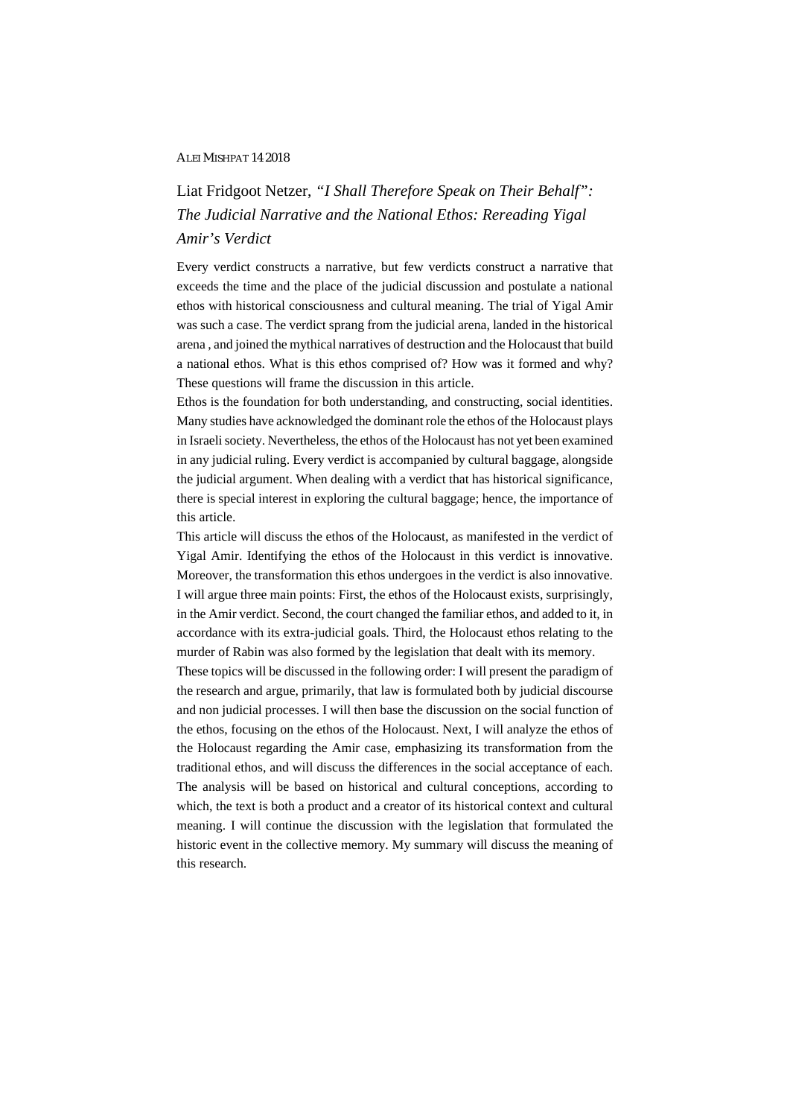### ALEI MISHPAT 14 2018

# Liat Fridgoot Netzer, *"I Shall Therefore Speak on Their Behalf": The Judicial Narrative and the National Ethos: Rereading Yigal Amir's Verdict*

Every verdict constructs a narrative, but few verdicts construct a narrative that exceeds the time and the place of the judicial discussion and postulate a national ethos with historical consciousness and cultural meaning. The trial of Yigal Amir was such a case. The verdict sprang from the judicial arena, landed in the historical arena , and joined the mythical narratives of destruction and the Holocaust that build a national ethos. What is this ethos comprised of? How was it formed and why? These questions will frame the discussion in this article.

Ethos is the foundation for both understanding, and constructing, social identities. Many studies have acknowledged the dominant role the ethos of the Holocaust plays in Israeli society. Nevertheless, the ethos of the Holocaust has not yet been examined in any judicial ruling. Every verdict is accompanied by cultural baggage, alongside the judicial argument. When dealing with a verdict that has historical significance, there is special interest in exploring the cultural baggage; hence, the importance of this article.

This article will discuss the ethos of the Holocaust, as manifested in the verdict of Yigal Amir. Identifying the ethos of the Holocaust in this verdict is innovative. Moreover, the transformation this ethos undergoes in the verdict is also innovative. I will argue three main points: First, the ethos of the Holocaust exists, surprisingly, in the Amir verdict. Second, the court changed the familiar ethos, and added to it, in accordance with its extra-judicial goals. Third, the Holocaust ethos relating to the murder of Rabin was also formed by the legislation that dealt with its memory.

These topics will be discussed in the following order: I will present the paradigm of the research and argue, primarily, that law is formulated both by judicial discourse and non judicial processes. I will then base the discussion on the social function of the ethos, focusing on the ethos of the Holocaust. Next, I will analyze the ethos of the Holocaust regarding the Amir case, emphasizing its transformation from the traditional ethos, and will discuss the differences in the social acceptance of each. The analysis will be based on historical and cultural conceptions, according to which, the text is both a product and a creator of its historical context and cultural meaning. I will continue the discussion with the legislation that formulated the historic event in the collective memory. My summary will discuss the meaning of this research.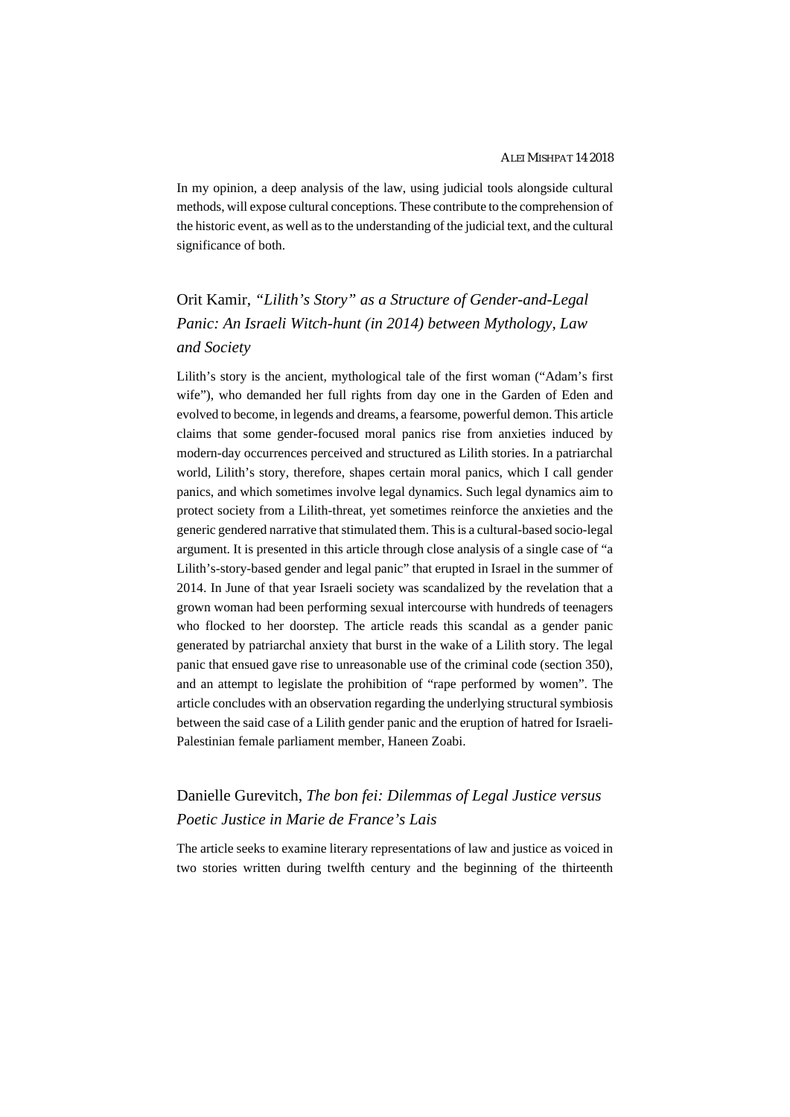In my opinion, a deep analysis of the law, using judicial tools alongside cultural methods, will expose cultural conceptions. These contribute to the comprehension of the historic event, as well as to the understanding of the judicial text, and the cultural significance of both.

# Orit Kamir, *"Lilith's Story" as a Structure of Gender-and-Legal Panic: An Israeli Witch-hunt (in 2014) between Mythology, Law and Society*

Lilith's story is the ancient, mythological tale of the first woman ("Adam's first wife"), who demanded her full rights from day one in the Garden of Eden and evolved to become, in legends and dreams, a fearsome, powerful demon. This article claims that some gender-focused moral panics rise from anxieties induced by modern-day occurrences perceived and structured as Lilith stories. In a patriarchal world, Lilith's story, therefore, shapes certain moral panics, which I call gender panics, and which sometimes involve legal dynamics. Such legal dynamics aim to protect society from a Lilith-threat, yet sometimes reinforce the anxieties and the generic gendered narrative that stimulated them. This is a cultural-based socio-legal argument. It is presented in this article through close analysis of a single case of "a Lilith's-story-based gender and legal panic" that erupted in Israel in the summer of 2014. In June of that year Israeli society was scandalized by the revelation that a grown woman had been performing sexual intercourse with hundreds of teenagers who flocked to her doorstep. The article reads this scandal as a gender panic generated by patriarchal anxiety that burst in the wake of a Lilith story. The legal panic that ensued gave rise to unreasonable use of the criminal code (section 350), and an attempt to legislate the prohibition of "rape performed by women". The article concludes with an observation regarding the underlying structural symbiosis between the said case of a Lilith gender panic and the eruption of hatred for Israeli-Palestinian female parliament member, Haneen Zoabi.

## Danielle Gurevitch, *The bon fei: Dilemmas of Legal Justice versus Poetic Justice in Marie de France's Lais*

The article seeks to examine literary representations of law and justice as voiced in two stories written during twelfth century and the beginning of the thirteenth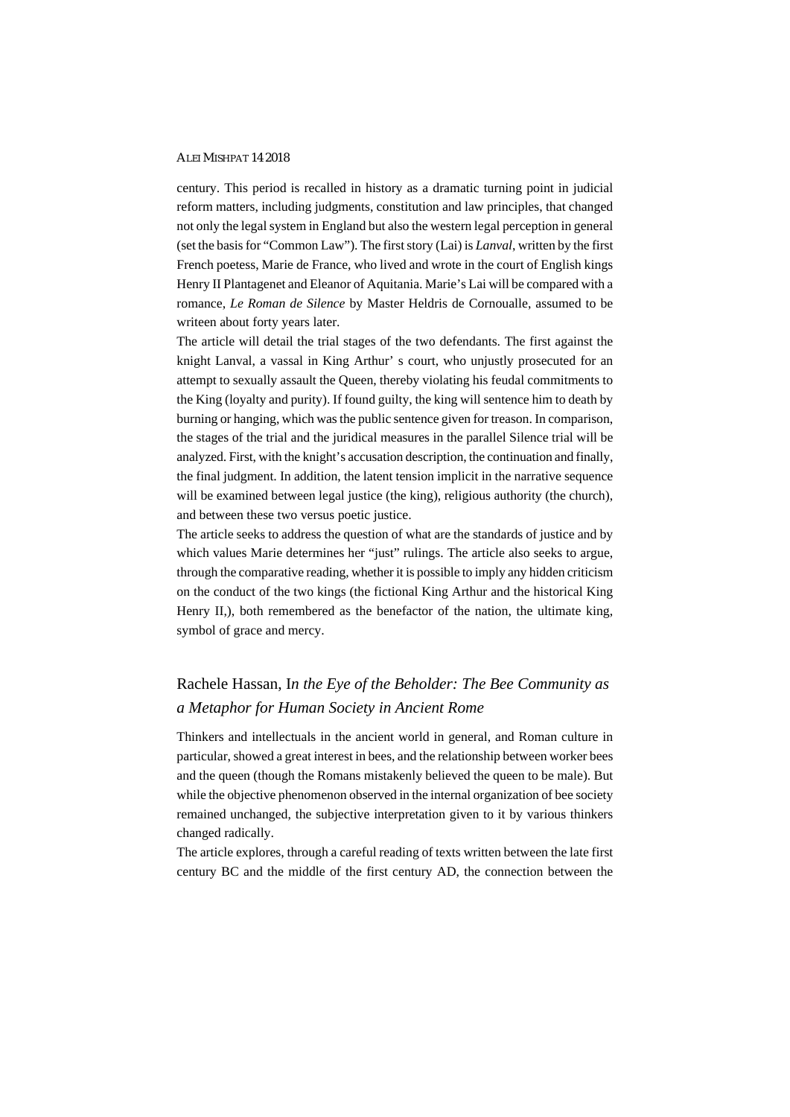#### ALEI MISHPAT 14 2018

century. This period is recalled in history as a dramatic turning point in judicial reform matters, including judgments, constitution and law principles, that changed not only the legal system in England but also the western legal perception in general (set the basis for "Common Law"). The first story (Lai) is *Lanval*, written by the first French poetess, Marie de France, who lived and wrote in the court of English kings Henry II Plantagenet and Eleanor of Aquitania. Marie's Lai will be compared with a romance, *Le Roman de Silence* by Master Heldris de Cornoualle, assumed to be writeen about forty years later.

The article will detail the trial stages of the two defendants. The first against the knight Lanval, a vassal in King Arthur' s court, who unjustly prosecuted for an attempt to sexually assault the Queen, thereby violating his feudal commitments to the King (loyalty and purity). If found guilty, the king will sentence him to death by burning or hanging, which was the public sentence given for treason. In comparison, the stages of the trial and the juridical measures in the parallel Silence trial will be analyzed. First, with the knight's accusation description, the continuation and finally, the final judgment. In addition, the latent tension implicit in the narrative sequence will be examined between legal justice (the king), religious authority (the church), and between these two versus poetic justice.

The article seeks to address the question of what are the standards of justice and by which values Marie determines her "just" rulings. The article also seeks to argue, through the comparative reading, whether it is possible to imply any hidden criticism on the conduct of the two kings (the fictional King Arthur and the historical King Henry II,), both remembered as the benefactor of the nation, the ultimate king, symbol of grace and mercy.

## Rachele Hassan, I*n the Eye of the Beholder: The Bee Community as a Metaphor for Human Society in Ancient Rome*

Thinkers and intellectuals in the ancient world in general, and Roman culture in particular, showed a great interest in bees, and the relationship between worker bees and the queen (though the Romans mistakenly believed the queen to be male). But while the objective phenomenon observed in the internal organization of bee society remained unchanged, the subjective interpretation given to it by various thinkers changed radically.

The article explores, through a careful reading of texts written between the late first century BC and the middle of the first century AD, the connection between the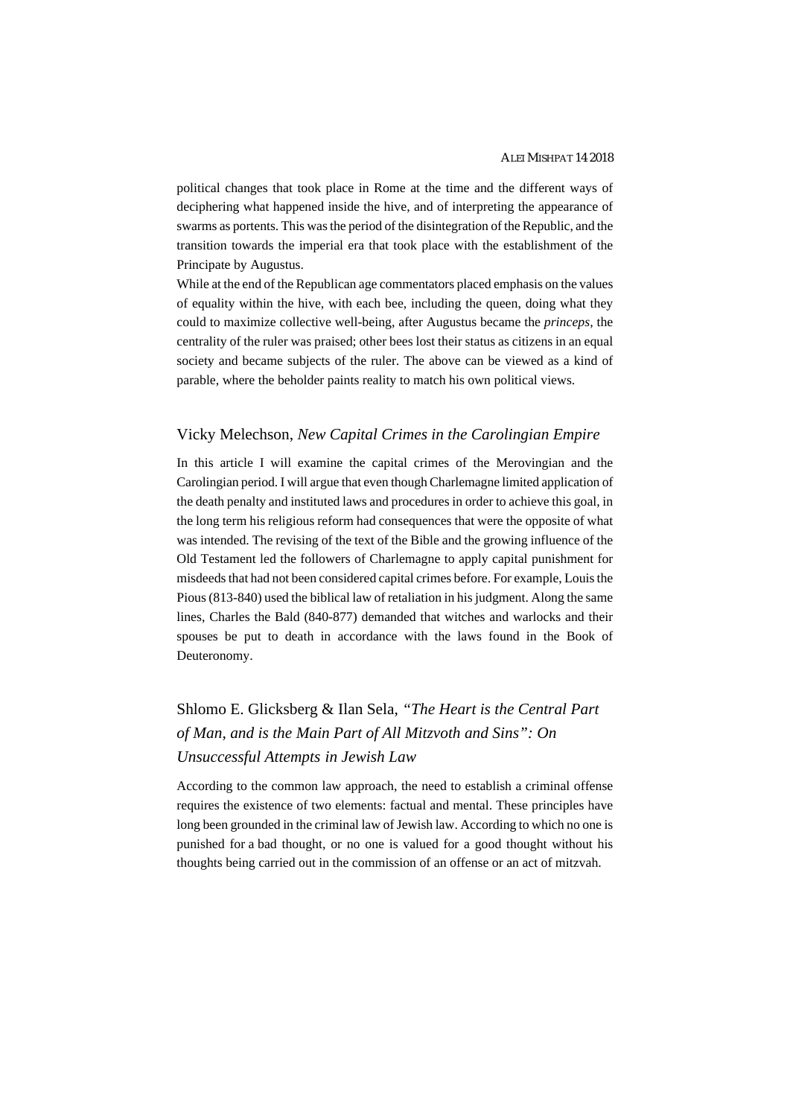political changes that took place in Rome at the time and the different ways of deciphering what happened inside the hive, and of interpreting the appearance of swarms as portents. This was the period of the disintegration of the Republic, and the transition towards the imperial era that took place with the establishment of the Principate by Augustus.

While at the end of the Republican age commentators placed emphasis on the values of equality within the hive, with each bee, including the queen, doing what they could to maximize collective well-being, after Augustus became the *princeps,* the centrality of the ruler was praised; other bees lost their status as citizens in an equal society and became subjects of the ruler. The above can be viewed as a kind of parable, where the beholder paints reality to match his own political views.

#### Vicky Melechson, *New Capital Crimes in the Carolingian Empire*

In this article I will examine the capital crimes of the Merovingian and the Carolingian period. I will argue that even though Charlemagne limited application of the death penalty and instituted laws and procedures in order to achieve this goal, in the long term his religious reform had consequences that were the opposite of what was intended. The revising of the text of the Bible and the growing influence of the Old Testament led the followers of Charlemagne to apply capital punishment for misdeeds that had not been considered capital crimes before. For example, Louis the Pious (813-840) used the biblical law of retaliation in his judgment. Along the same lines, Charles the Bald (840-877) demanded that witches and warlocks and their spouses be put to death in accordance with the laws found in the Book of Deuteronomy.

# Shlomo E. Glicksberg & Ilan Sela, *"The Heart is the Central Part of Man, and is the Main Part of All Mitzvoth and Sins": On Unsuccessful Attempts in Jewish Law*

According to the common law approach, the need to establish a criminal offense requires the existence of two elements: factual and mental. These principles have long been grounded in the criminal law of Jewish law. According to which no one is punished for a bad thought, or no one is valued for a good thought without his thoughts being carried out in the commission of an offense or an act of mitzvah.